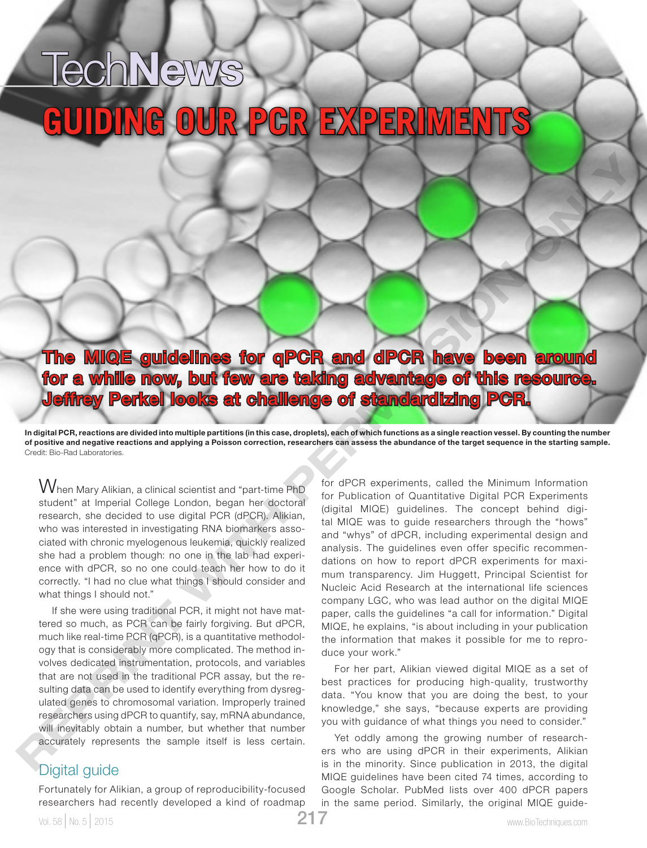# **TechNews GUIDING OUR PGR EXPERIMENT**

The MIQE guidelines for qPCR and dPCR have been around for a while now, but few are taking advantage of this resource. Jeffrey Perkel looks at challenge of standardizing PCR.

In digital PCR, reactions are divided into multiple partitions (in this case, droplets), each of which functions as a single reaction vessel. By counting the number of positive and negative reactions and applying a Poisson correction, researchers can assess the abundance of the target sequence in the starting sample.

 $\operatorname{\mathsf{W}}$ hen Mary Alikian, a clinical scientist and "part-time PhD student" at Imperial College London, began her doctoral research, she decided to use digital PCR (dPCR). Alikian, who was interested in investigating RNA biomarkers associated with chronic myelogenous leukemia, quickly realized she had a problem though: no one in the lab had experience with dPCR, so no one could teach her how to do it correctly. "I had no clue what things I should consider and what things I should not."

If she were using traditional PCR, it might not have mattered so much, as PCR can be fairly forgiving. But dPCR, much like real-time PCR (qPCR), is a quantitative methodology that is considerably more complicated. The method involves dedicated instrumentation, protocols, and variables that are not used in the traditional PCR assay, but the resulting data can be used to identify everything from dysregulated genes to chromosomal variation. Improperly trained researchers using dPCR to quantify, say, mRNA abundance, will inevitably obtain a number, but whether that number accurately represents the sample itself is less certain.

## Digital guide

Fortunately for Alikian, a group of reproducibility-focused researchers had recently developed a kind of roadmap

for dPCR experiments, called the Minimum Information for Publication of Quantitative Digital PCR Experiments (digital MIQE) guidelines. The concept behind digital MIQE was to guide researchers through the "hows" and "whys" of dPCR, including experimental design and analysis. The guidelines even offer specific recommendations on how to report dPCR experiments for maximum transparency. Jim Huggett, Principal Scientist for Nucleic Acid Research at the international life sciences company LGC, who was lead author on the digital MIQE paper, calls the guidelines "a call for information." Digital MIQE, he explains, "is about including in your publication the information that makes it possible for me to reproduce your work." The MIQE guidelines for a**PCR, and dPCR, have been appulled**<br>Use the window **but for a pc and dPCR** have been appelled<br>to a while move to applicate the set of the set of the set of the set of the set of the set of the set

For her part, Alikian viewed digital MIQE as a set of best practices for producing high-quality, trustworthy data. "You know that you are doing the best, to your knowledge," she says, "because experts are providing you with guidance of what things you need to consider."

Yet oddly among the growing number of researchers who are using dPCR in their experiments, Alikian is in the minority. Since publication in 2013, the digital MIQE guidelines have been cited 74 times, according to Google Scholar. PubMed lists over 400 dPCR papers in the same period. Similarly, the original MIQE guide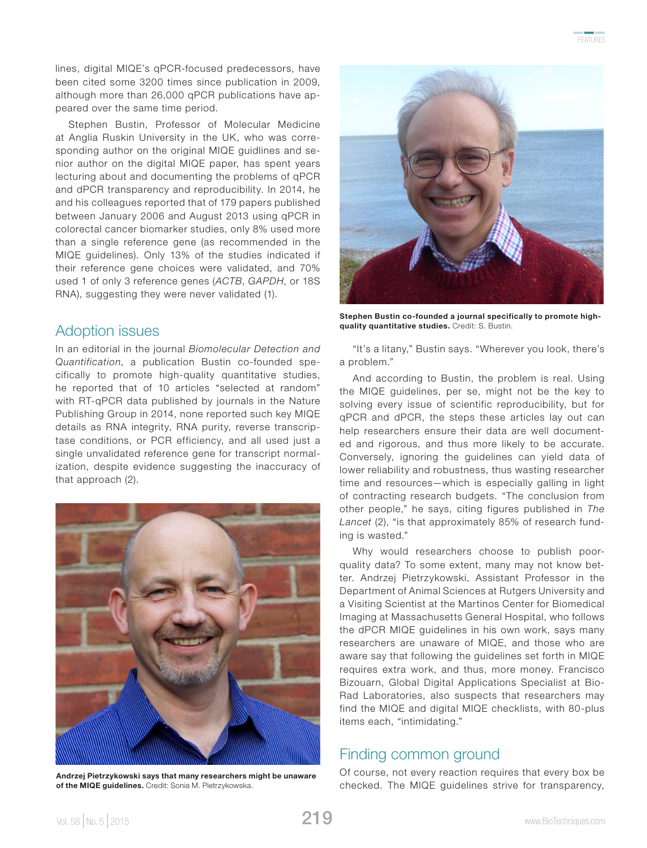lines, digital MIQE's qPCR-focused predecessors, have been cited some 3200 times since publication in 2009, although more than 26,000 qPCR publications have appeared over the same time period.

Stephen Bustin, Professor of Molecular Medicine at Anglia Ruskin University in the UK, who was corresponding author on the original MIQE guidlines and senior author on the digital MIQE paper, has spent years lecturing about and documenting the problems of qPCR and dPCR transparency and reproducibility. In 2014, he and his colleagues reported that of 179 papers published between January 2006 and August 2013 using qPCR in colorectal cancer biomarker studies, only 8% used more than a single reference gene (as recommended in the MIQE guidelines). Only 13% of the studies indicated if their reference gene choices were validated, and 70% used 1 of only 3 reference genes (*ACTB*, *GAPDH*, or 18S RNA), suggesting they were never validated (1).

#### Adoption issues

In an editorial in the journal *Biomolecular Detection and Quantification*, a publication Bustin co-founded specifically to promote high-quality quantitative studies, he reported that of 10 articles "selected at random" with RT-qPCR data published by journals in the Nature Publishing Group in 2014, none reported such key MIQE details as RNA integrity, RNA purity, reverse transcriptase conditions, or PCR efficiency, and all used just a single unvalidated reference gene for transcript normalization, despite evidence suggesting the inaccuracy of that approach (2).



Andrzej Pietrzykowski says that many researchers might be unaware of the MIQE guidelines. Credit: Sonia M. Pietrzykowska.



Stephen Bustin co-founded a journal specifically to promote highquality quantitative studies. Credit: S. Bustin.

"It's a litany," Bustin says. "Wherever you look, there's a problem."

And according to Bustin, the problem is real. Using the MIQE guidelines, per se, might not be the key to solving every issue of scientific reproducibility, but for qPCR and dPCR, the steps these articles lay out can help researchers ensure their data are well documented and rigorous, and thus more likely to be accurate. Conversely, ignoring the guidelines can yield data of lower reliability and robustness, thus wasting researcher time and resources—which is especially galling in light of contracting research budgets. "The conclusion from other people," he says, citing figures published in *The Lancet* (2), "is that approximately 85% of research funding is wasted."

Why would researchers choose to publish poorquality data? To some extent, many may not know better. Andrzej Pietrzykowski, Assistant Professor in the Department of Animal Sciences at Rutgers University and a Visiting Scientist at the Martinos Center for Biomedical Imaging at Massachusetts General Hospital, who follows the dPCR MIQE guidelines in his own work, says many researchers are unaware of MIQE, and those who are aware say that following the guidelines set forth in MIQE requires extra work, and thus, more money. Francisco Bizouarn, Global Digital Applications Specialist at Bio-Rad Laboratories, also suspects that researchers may find the MIQE and digital MIQE checklists, with 80-plus items each, "intimidating."

# Finding common ground

Of course, not every reaction requires that every box be checked. The MIQE guidelines strive for transparency,